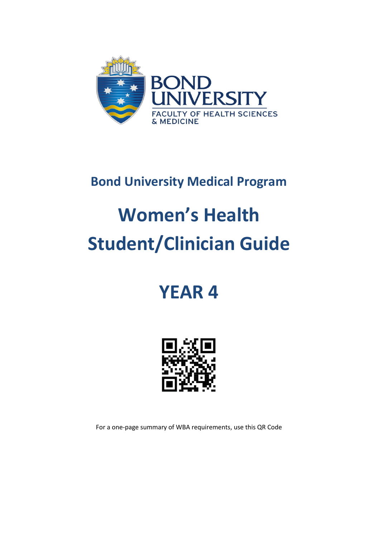

## **Bond University Medical Program**

# **Women's Health Student/Clinician Guide**

## **YEAR 4**



For a one-page summary of WBA requirements, use this QR Code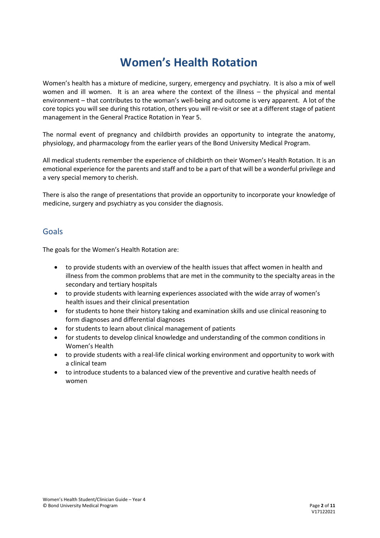## **Women's Health Rotation**

Women's health has a mixture of medicine, surgery, emergency and psychiatry. It is also a mix of well women and ill women. It is an area where the context of the illness – the physical and mental environment – that contributes to the woman's well-being and outcome is very apparent. A lot of the core topics you will see during this rotation, others you will re-visit or see at a different stage of patient management in the General Practice Rotation in Year 5.

The normal event of pregnancy and childbirth provides an opportunity to integrate the anatomy, physiology, and pharmacology from the earlier years of the Bond University Medical Program.

All medical students remember the experience of childbirth on their Women's Health Rotation. It is an emotional experience for the parents and staff and to be a part of that will be a wonderful privilege and a very special memory to cherish.

There is also the range of presentations that provide an opportunity to incorporate your knowledge of medicine, surgery and psychiatry as you consider the diagnosis.

#### Goals

The goals for the Women's Health Rotation are:

- to provide students with an overview of the health issues that affect women in health and illness from the common problems that are met in the community to the specialty areas in the secondary and tertiary hospitals
- to provide students with learning experiences associated with the wide array of women's health issues and their clinical presentation
- for students to hone their history taking and examination skills and use clinical reasoning to form diagnoses and differential diagnoses
- for students to learn about clinical management of patients
- for students to develop clinical knowledge and understanding of the common conditions in Women's Health
- to provide students with a real-life clinical working environment and opportunity to work with a clinical team
- to introduce students to a balanced view of the preventive and curative health needs of women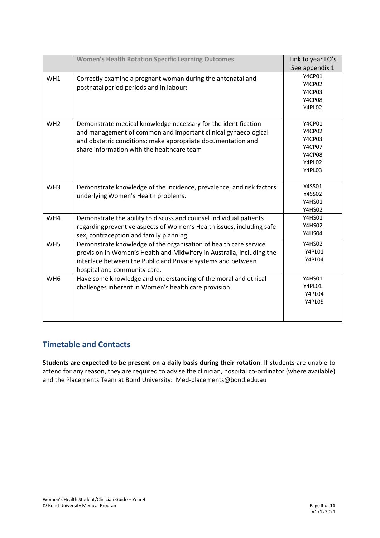|                 | <b>Women's Health Rotation Specific Learning Outcomes</b>                                                                                                                                                                                      | Link to year LO's                                                  |
|-----------------|------------------------------------------------------------------------------------------------------------------------------------------------------------------------------------------------------------------------------------------------|--------------------------------------------------------------------|
|                 |                                                                                                                                                                                                                                                | See appendix 1                                                     |
| WH1             | Correctly examine a pregnant woman during the antenatal and<br>postnatal period periods and in labour;                                                                                                                                         | Y4CP01<br>Y4CP02<br>Y4CP03<br>Y4CP08<br>Y4PL02                     |
| WH <sub>2</sub> | Demonstrate medical knowledge necessary for the identification<br>and management of common and important clinical gynaecological<br>and obstetric conditions; make appropriate documentation and<br>share information with the healthcare team | Y4CP01<br>Y4CP02<br>Y4CP03<br>Y4CP07<br>Y4CP08<br>Y4PL02<br>Y4PL03 |
| WH <sub>3</sub> | Demonstrate knowledge of the incidence, prevalence, and risk factors<br>underlying Women's Health problems.                                                                                                                                    | Y4SS01<br>Y4SS02<br>Y4HS01<br>Y4HS02                               |
| WH4             | Demonstrate the ability to discuss and counsel individual patients<br>regarding preventive aspects of Women's Health issues, including safe<br>sex, contraception and family planning.                                                         | Y4HS01<br>Y4HS02<br>Y4HS04                                         |
| WH <sub>5</sub> | Demonstrate knowledge of the organisation of health care service<br>provision in Women's Health and Midwifery in Australia, including the<br>interface between the Public and Private systems and between<br>hospital and community care.      | <b>Y4HS02</b><br>Y4PL01<br>Y4PL04                                  |
| WH <sub>6</sub> | Have some knowledge and understanding of the moral and ethical<br>challenges inherent in Women's health care provision.                                                                                                                        | Y4HS01<br>Y4PL01<br>Y4PL04<br>Y4PL05                               |

#### **Timetable and Contacts**

**Students are expected to be present on a daily basis during their rotation**. If students are unable to attend for any reason, they are required to advise the clinician, hospital co-ordinator (where available) and the Placements Team at Bond University: [Med-placements@bond.edu.au](mailto:Med-placements@bond.edu.au)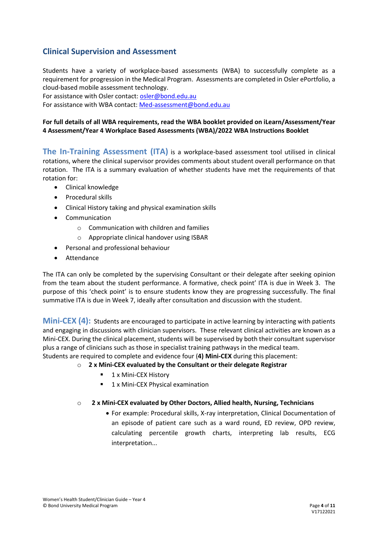#### **Clinical Supervision and Assessment**

Students have a variety of workplace-based assessments (WBA) to successfully complete as a requirement for progression in the Medical Program. Assessments are completed in Osler ePortfolio, a cloud-based mobile assessment technology.

For assistance with Osler contact: [osler@bond.edu.au](mailto:osler@bond.edu.au)

For assistance with WBA contact: [Med-assessment@bond.edu.au](mailto:Med-assessment@bond.edu.au)

#### **For full details of all WBA requirements, read the WBA booklet provided on iLearn/Assessment/Year 4 Assessment/Year 4 Workplace Based Assessments (WBA)/2022 WBA Instructions Booklet**

**The In-Training Assessment (ITA)** is a workplace-based assessment tool utilised in clinical rotations, where the clinical supervisor provides comments about student overall performance on that rotation. The ITA is a summary evaluation of whether students have met the requirements of that rotation for:

- Clinical knowledge
- Procedural skills
- Clinical History taking and physical examination skills
- Communication
	- o Communication with children and families
	- o Appropriate clinical handover using ISBAR
- Personal and professional behaviour
- **Attendance**

The ITA can only be completed by the supervising Consultant or their delegate after seeking opinion from the team about the student performance. A formative, check point' ITA is due in Week 3. The purpose of this 'check point' is to ensure students know they are progressing successfully. The final summative ITA is due in Week 7, ideally after consultation and discussion with the student.

**Mini-CEX (4):** Students are encouraged to participate in active learning by interacting with patients and engaging in discussions with clinician supervisors. These relevant clinical activities are known as a Mini-CEX. During the clinical placement, students will be supervised by both their consultant supervisor plus a range of clinicians such as those in specialist training pathways in the medical team. Students are required to complete and evidence four (**4) Mini-CEX** during this placement:

- o **2 x Mini-CEX evaluated by the Consultant or their delegate Registrar**
	- **1 x Mini-CEX History**
	- **1** x Mini-CEX Physical examination

#### o **2 x Mini-CEX evaluated by Other Doctors, Allied health, Nursing, Technicians**

• For example: Procedural skills, X-ray interpretation, Clinical Documentation of an episode of patient care such as a ward round, ED review, OPD review, calculating percentile growth charts, interpreting lab results, ECG interpretation...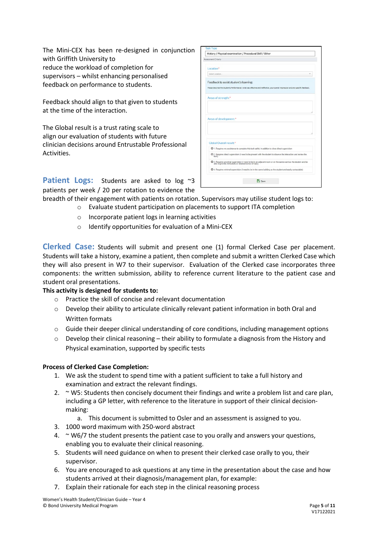The Mini-CEX has been re-designed in conjunction with Griffith University to reduce the workload of completion for supervisors – whilst enhancing personalised feedback on performance to students.

Feedback should align to that given to students at the time of the interaction.

The Global result is a trust rating scale to align our evaluation of students with future clinician decisions around Entrustable Professional Activities.

| Assessment Criteria                                                                                                                                                         |  |
|-----------------------------------------------------------------------------------------------------------------------------------------------------------------------------|--|
| Location*                                                                                                                                                                   |  |
| Select Location                                                                                                                                                             |  |
| Feedback to assist student's learning:<br>Please describe the Student's Performance: what was effective and ineffective, your overall impression and any specific feedback. |  |
| Areas of strength:*                                                                                                                                                         |  |
|                                                                                                                                                                             |  |
| Areas of development:*                                                                                                                                                      |  |
|                                                                                                                                                                             |  |
| Global Overall result:*                                                                                                                                                     |  |
| O 1. Requires my assistance to complete this task safely in addition to close direct supervision                                                                            |  |
| O 2. Requires direct supervision (I need to be present with the student to observe the interaction and review the<br>task)                                                  |  |
| O 3. Requires proximal supervision (I need to be in an adjacent room or on the same ward as the student and be<br>able to provide immediate or detailed review of task)     |  |

**Patient Logs:** Students are asked to log ~3 patients per week / 20 per rotation to evidence the

- breadth of their engagement with patients on rotation. Supervisors may utilise student logs to:
	- o Evaluate student participation on placements to support ITA completion
	- o Incorporate patient logs in learning activities
	- o Identify opportunities for evaluation of a Mini-CEX

**Clerked Case:** Students will submit and present one (1) formal Clerked Case per placement. Students will take a history, examine a patient, then complete and submit a written Clerked Case which they will also present in W7 to their supervisor. Evaluation of the Clerked case incorporates three components: the written submission, ability to reference current literature to the patient case and student oral presentations.

#### **This activity is designed for students to:**

- o Practice the skill of concise and relevant documentation
- o Develop their ability to articulate clinically relevant patient information in both Oral and Written formats
- $\circ$  Guide their deeper clinical understanding of core conditions, including management options
- $\circ$  Develop their clinical reasoning their ability to formulate a diagnosis from the History and Physical examination, supported by specific tests

#### **Process of Clerked Case Completion:**

- 1. We ask the student to spend time with a patient sufficient to take a full history and examination and extract the relevant findings.
- 2.  $\sim$  W5: Students then concisely document their findings and write a problem list and care plan, including a GP letter, with reference to the literature in support of their clinical decisionmaking:
	- a. This document is submitted to Osler and an assessment is assigned to you.
- 3. 1000 word maximum with 250-word abstract
- 4.  $\sim$  W6/7 the student presents the patient case to you orally and answers your questions, enabling you to evaluate their clinical reasoning.
- 5. Students will need guidance on when to present their clerked case orally to you, their supervisor.
- 6. You are encouraged to ask questions at any time in the presentation about the case and how students arrived at their diagnosis/management plan, for example:
- 7. Explain their rationale for each step in the clinical reasoning process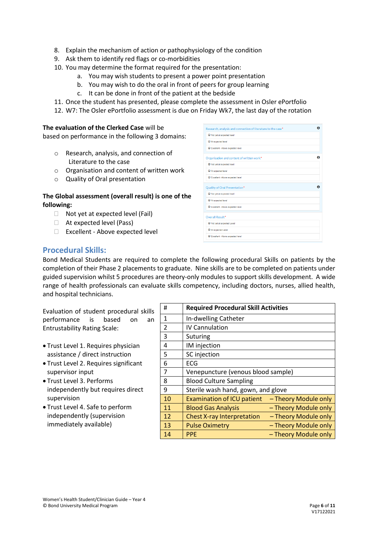- 8. Explain the mechanism of action or pathophysiology of the condition
- 9. Ask them to identify red flags or co-morbidities
- 10. You may determine the format required for the presentation:
	- a. You may wish students to present a power point presentation
	- b. You may wish to do the oral in front of peers for group learning
	- c. It can be done in front of the patient at the bedside
- 11. Once the student has presented, please complete the assessment in Osler ePortfolio
- 12. W7: The Osler ePortfolio assessment is due on Friday Wk7, the last day of the rotation

#### **The evaluation of the Clerked Case** will be

based on performance in the following 3 domains:

- o Research, analysis, and connection of Literature to the case
- o Organisation and content of written work
- o Quality of Oral presentation

#### **The Global assessment (overall result) is one of the following:**

- $\Box$  Not yet at expected level (Fail)
- □ At expected level (Pass)
- □ Excellent Above expected level

| Research, analysis and connection of literature to the case* | o |
|--------------------------------------------------------------|---|
| O Not yet at expected level                                  |   |
| At expected level                                            |   |
| C Excellent - Above expected level                           |   |
| Organisation and content of written work*                    |   |
| O Not yet at expected level                                  |   |
| O At expected level                                          |   |
| Excellent - Above expected level                             |   |
| Quality of Oral Presentation*                                |   |
| O Not yet at expected level                                  |   |
| O At expected level                                          |   |
| Excellent - Above expected level                             |   |
| Overall Result*                                              |   |
| Not yet at expected Level                                    |   |
| At expected Level                                            |   |
| Excellent - Above expected level                             |   |
|                                                              |   |

#### **Procedural Skills:**

Bond Medical Students are required to complete the following procedural Skills on patients by the completion of their Phase 2 placements to graduate. Nine skills are to be completed on patients under guided supervision whilst 5 procedures are theory-only modules to support skills development. A wide range of health professionals can evaluate skills competency, including doctors, nurses, allied health, and hospital technicians.

Evaluation of student procedural skills performance is based on an Entrustability Rating Scale:

- Trust Level 1. Requires physician assistance / direct instruction
- Trust Level 2. Requires significant supervisor input
- Trust Level 3. Performs independently but requires direct supervision
- Trust Level 4. Safe to perform independently (supervision immediately available)

| Ħ  | <b>Required Procedural Skill Activities</b> |                      |
|----|---------------------------------------------|----------------------|
| 1  | In-dwelling Catheter                        |                      |
| 2  | <b>IV Cannulation</b>                       |                      |
| 3  | Suturing                                    |                      |
| 4  | IM injection                                |                      |
| 5  | SC injection                                |                      |
| 6  | <b>ECG</b>                                  |                      |
| 7  | Venepuncture (venous blood sample)          |                      |
| 8  | <b>Blood Culture Sampling</b>               |                      |
| 9  | Sterile wash hand, gown, and glove          |                      |
| 10 | <b>Examination of ICU patient</b>           | - Theory Module only |
| 11 | <b>Blood Gas Analysis</b>                   | - Theory Module only |
| 12 | <b>Chest X-ray Interpretation</b>           | - Theory Module only |
| 13 | <b>Pulse Oximetry</b>                       | - Theory Module only |
| 14 | <b>PPE</b>                                  | - Theory Module only |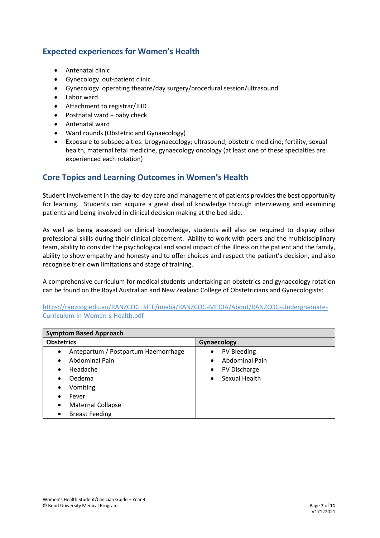#### **Expected experiences for Women's Health**

- Antenatal clinic
- Gynecology out-patient clinic
- Gynecology operating theatre/day surgery/procedural session/ultrasound
- Labor ward
- Attachment to registrar/JHD
- Postnatal ward + baby check
- Antenatal ward
- Ward rounds (Obstetric and Gynaecology)
- Exposure to subspecialties: Urogynaecology; ultrasound; obstetric medicine; fertility, sexual health, maternal fetal medicine, gynaecology oncology (at least one of these specialties are experienced each rotation)

#### **Core Topics and Learning Outcomes in Women's Health**

Student involvement in the day-to-day care and management of patients provides the best opportunity for learning. Students can acquire a great deal of knowledge through interviewing and examining patients and being involved in clinical decision making at the bed side.

As well as being assessed on clinical knowledge, students will also be required to display other professional skills during their clinical placement. Ability to work with peers and the multidisciplinary team, ability to consider the psychological and social impact of the illness on the patient and the family, ability to show empathy and honesty and to offer choices and respect the patient's decision, and also recognise their own limitations and stage of training.

A comprehensive curriculum for medical students undertaking an obstetrics and gynaecology rotation can be found on the Royal Australian and New Zealand College of Obstetricians and Gynecologists:

[https://ranzcog.edu.au/RANZCOG\\_SITE/media/RANZCOG-MEDIA/About/RANZCOG-Undergraduate-](https://ranzcog.edu.au/RANZCOG_SITE/media/RANZCOG-MEDIA/About/RANZCOG-Undergraduate-Curriculum-in-Women-s-Health.pdf)[Curriculum-in-Women-s-Health.pdf](https://ranzcog.edu.au/RANZCOG_SITE/media/RANZCOG-MEDIA/About/RANZCOG-Undergraduate-Curriculum-in-Women-s-Health.pdf)

| <b>Symptom Based Approach</b>                    |                            |  |  |
|--------------------------------------------------|----------------------------|--|--|
| <b>Obstetrics</b>                                | Gynaecology                |  |  |
| Antepartum / Postpartum Haemorrhage<br>$\bullet$ | PV Bleeding                |  |  |
| <b>Abdominal Pain</b><br>$\bullet$               | <b>Abdominal Pain</b>      |  |  |
| Headache<br>$\bullet$                            | PV Discharge               |  |  |
| Oedema<br>٠                                      | Sexual Health<br>$\bullet$ |  |  |
| Vomiting<br>٠                                    |                            |  |  |
| Fever<br>٠                                       |                            |  |  |
| <b>Maternal Collapse</b><br>$\bullet$            |                            |  |  |
| <b>Breast Feeding</b><br>٠                       |                            |  |  |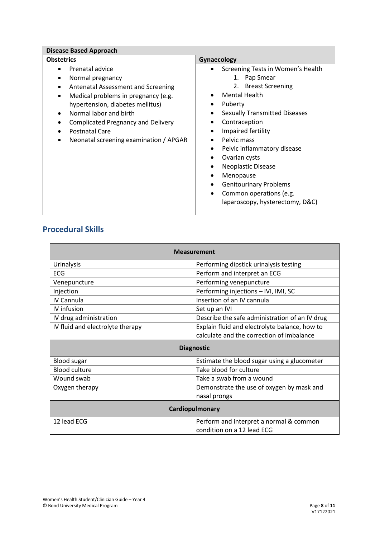#### **Procedural Skills**

| <b>Measurement</b>                                |                                                                       |  |  |
|---------------------------------------------------|-----------------------------------------------------------------------|--|--|
| <b>Urinalysis</b>                                 | Performing dipstick urinalysis testing                                |  |  |
| <b>ECG</b>                                        | Perform and interpret an ECG                                          |  |  |
| Performing venepuncture<br>Venepuncture           |                                                                       |  |  |
| Performing injections - IVI, IMI, SC<br>Injection |                                                                       |  |  |
| IV Cannula                                        | Insertion of an IV cannula                                            |  |  |
| IV infusion                                       | Set up an IVI                                                         |  |  |
| IV drug administration                            | Describe the safe administration of an IV drug                        |  |  |
| IV fluid and electrolyte therapy                  | Explain fluid and electrolyte balance, how to                         |  |  |
|                                                   | calculate and the correction of imbalance                             |  |  |
| <b>Diagnostic</b>                                 |                                                                       |  |  |
| <b>Blood sugar</b>                                | Estimate the blood sugar using a glucometer                           |  |  |
| <b>Blood culture</b>                              | Take blood for culture                                                |  |  |
| Wound swab                                        | Take a swab from a wound                                              |  |  |
| Oxygen therapy                                    | Demonstrate the use of oxygen by mask and                             |  |  |
|                                                   | nasal prongs                                                          |  |  |
| Cardiopulmonary                                   |                                                                       |  |  |
| 12 lead ECG                                       | Perform and interpret a normal & common<br>condition on a 12 lead ECG |  |  |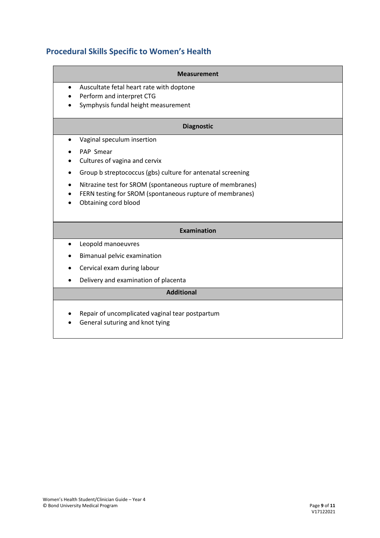### **Procedural Skills Specific to Women's Health**

| <b>Measurement</b>                                                                 |
|------------------------------------------------------------------------------------|
| Auscultate fetal heart rate with doptone<br>$\bullet$                              |
| Perform and interpret CTG                                                          |
| Symphysis fundal height measurement                                                |
| <b>Diagnostic</b>                                                                  |
| Vaginal speculum insertion<br>$\bullet$                                            |
| PAP Smear                                                                          |
| Cultures of vagina and cervix                                                      |
| Group b streptococcus (gbs) culture for antenatal screening                        |
| Nitrazine test for SROM (spontaneous rupture of membranes)                         |
| FERN testing for SROM (spontaneous rupture of membranes)                           |
| Obtaining cord blood                                                               |
|                                                                                    |
| <b>Examination</b>                                                                 |
| Leopold manoeuvres<br>$\bullet$                                                    |
| Bimanual pelvic examination                                                        |
| Cervical exam during labour                                                        |
| Delivery and examination of placenta                                               |
| <b>Additional</b>                                                                  |
| Repair of uncomplicated vaginal tear postpartum<br>General suturing and knot tying |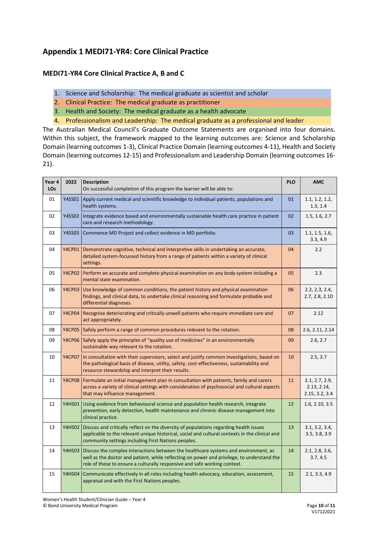#### **Appendix 1 MEDI71-YR4: Core Clinical Practice**

#### **MEDI71-YR4 Core Clinical Practice A, B and C**

- 1. Science and Scholarship: The medical graduate as scientist and scholar
- 2. Clinical Practice: The medical graduate as practitioner
- 3. Health and Society: The medical graduate as a health advocate
- 4. Professionalism and Leadership: The medical graduate as a professional and leader

The Australian Medical Council's Graduate Outcome Statements are organised into four domains. Within this subject, the framework mapped to the learning outcomes are: Science and Scholarship Domain (learning outcomes 1-3), Clinical Practice Domain (learning outcomes 4-11), Health and Society Domain (learning outcomes 12-15) and Professionalism and Leadership Domain (learning outcomes 16- 21).

| Year 4<br><b>LOs</b> | 2022          | <b>Description</b><br>On successful completion of this program the learner will be able to:                                                                                                                                                                    | <b>PLO</b> | <b>AMC</b>                                      |
|----------------------|---------------|----------------------------------------------------------------------------------------------------------------------------------------------------------------------------------------------------------------------------------------------------------------|------------|-------------------------------------------------|
| 01                   | Y4SS01        | Apply current medical and scientific knowledge to individual patients, populations and<br>health systems.                                                                                                                                                      | 01         | 1.1, 1.2, 1.2,<br>1.3, 1.4                      |
| 02                   | Y4SS02        | Integrate evidence based and environmentally sustainable health care practice in patient<br>care and research methodology.                                                                                                                                     | 02         | 1.5, 1.6, 2.7                                   |
| 03                   | Y4SS03        | Commence MD Project and collect evidence in MD portfolio.                                                                                                                                                                                                      | 03         | 1.1, 1.5, 1.6,<br>3.3, 4.9                      |
| 04                   | <b>Y4CP01</b> | Demonstrate cognitive, technical and interpretive skills in undertaking an accurate,<br>detailed system-focussed history from a range of patients within a variety of clinical<br>settings.                                                                    | 04         | 2.2                                             |
| 05                   | <b>Y4CP02</b> | Perform an accurate and complete physical examination on any body system including a<br>mental state examination.                                                                                                                                              | 05         | 2.3                                             |
| 06                   | <b>Y4CP03</b> | Use knowledge of common conditions, the patient history and physical examination<br>findings, and clinical data, to undertake clinical reasoning and formulate probable and<br>differential diagnoses.                                                         | 06         | 2.2, 2.3, 2.4,<br>2.7, 2.8, 2.10                |
| 07                   | <b>Y4CP04</b> | Recognise deteriorating and critically unwell patients who require immediate care and<br>act appropriately.                                                                                                                                                    | 07         | 2.12                                            |
| 08                   |               | Y4CP05 Safely perform a range of common procedures relevant to the rotation.                                                                                                                                                                                   | 08         | 2.6, 2.11, 2.14                                 |
| 09                   | <b>Y4CP06</b> | Safely apply the principles of "quality use of medicines" in an environmentally<br>sustainable way relevant to the rotation.                                                                                                                                   | 09         | 2.6, 2.7                                        |
| 10                   | <b>Y4CP07</b> | In consultation with their supervisors, select and justify common investigations, based on<br>the pathological basis of disease, utility, safety, cost-effectiveness, sustainability and<br>resource stewardship and interpret their results.                  | 10         | 2.5, 3.7                                        |
| 11                   | <b>Y4CP08</b> | Formulate an initial management plan in consultation with patients, family and carers<br>across a variety of clinical settings with consideration of psychosocial and cultural aspects<br>that may influence management.                                       | 11         | 2.1, 2.7, 2.9,<br>2.13, 2.14,<br>2.15, 3.2, 3.4 |
| 12                   | <b>Y4HS01</b> | Using evidence from behavioural science and population health research, integrate<br>prevention, early detection, health maintenance and chronic disease management into<br>clinical practice.                                                                 | 12         | 1.6, 2.10, 3.5                                  |
| 13                   | <b>Y4HS02</b> | Discuss and critically reflect on the diversity of populations regarding health issues<br>applicable to the relevant unique historical, social and cultural contexts in the clinical and<br>community settings including First Nations peoples.                | 13         | 3.1, 3.2, 3.4,<br>3.5, 3.8, 3.9                 |
| 14                   | <b>Y4HS03</b> | Discuss the complex interactions between the healthcare systems and environment, as<br>well as the doctor and patient, while reflecting on power and privilege, to understand the<br>role of these to ensure a culturally responsive and safe working context. | 14         | 2.1, 2.8, 3.6,<br>3.7, 4.5                      |
| 15                   | <b>Y4HS04</b> | Communicate effectively in all roles including health advocacy, education, assessment,<br>appraisal and with the First Nations peoples.                                                                                                                        | 15         | 2.1, 3.3, 4.9                                   |